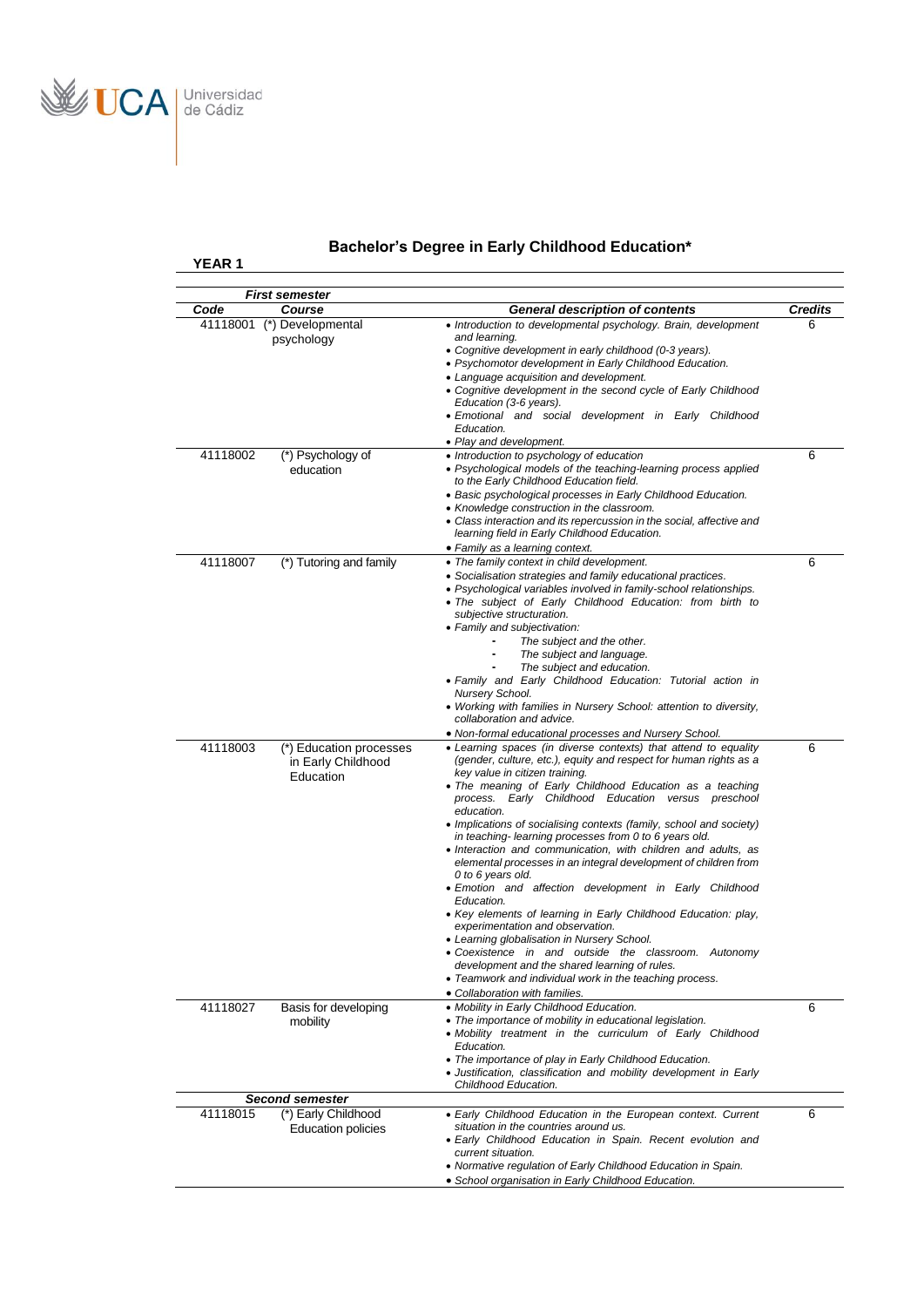

```
YEAR 1
```
# **Bachelor's Degree in Early Childhood Education\***

|                  | <b>First semester</b>                            |                                                                                                                                                                                                                              | <b>Credits</b> |
|------------------|--------------------------------------------------|------------------------------------------------------------------------------------------------------------------------------------------------------------------------------------------------------------------------------|----------------|
| Code<br>41118001 | Course<br>(*) Developmental                      | <b>General description of contents</b><br>• Introduction to developmental psychology. Brain, development                                                                                                                     |                |
|                  | psychology                                       | and learning.<br>• Cognitive development in early childhood (0-3 years).<br>• Psychomotor development in Early Childhood Education.                                                                                          | 6              |
|                  |                                                  | • Language acquisition and development.<br>• Cognitive development in the second cycle of Early Childhood<br>Education (3-6 years).                                                                                          |                |
|                  |                                                  | • Emotional and social development in Early Childhood<br>Education.<br>• Play and development.                                                                                                                               |                |
| 41118002         | (*) Psychology of<br>education                   | • Introduction to psychology of education<br>• Psychological models of the teaching-learning process applied<br>to the Early Childhood Education field.                                                                      | 6              |
|                  |                                                  | • Basic psychological processes in Early Childhood Education.<br>• Knowledge construction in the classroom.<br>• Class interaction and its repercussion in the social, affective and                                         |                |
|                  |                                                  | learning field in Early Childhood Education.<br>• Family as a learning context.                                                                                                                                              |                |
| 41118007         | (*) Tutoring and family                          | • The family context in child development.                                                                                                                                                                                   | 6              |
|                  |                                                  | • Socialisation strategies and family educational practices.<br>• Psychological variables involved in family-school relationships.<br>• The subject of Early Childhood Education: from birth to<br>subiective structuration. |                |
|                  |                                                  | • Family and subjectivation:<br>The subject and the other.<br>The subject and language.                                                                                                                                      |                |
|                  |                                                  | The subject and education.<br>• Family and Early Childhood Education: Tutorial action in<br>Nursery School.                                                                                                                  |                |
|                  |                                                  | • Working with families in Nursery School: attention to diversity,<br>collaboration and advice.                                                                                                                              |                |
| 41118003         | (*) Education processes<br>in Early Childhood    | • Non-formal educational processes and Nursery School.<br>• Learning spaces (in diverse contexts) that attend to equality<br>(gender, culture, etc.), equity and respect for human rights as a                               | 6              |
|                  | Education                                        | key value in citizen training.<br>• The meaning of Early Childhood Education as a teaching<br>process. Early Childhood Education versus preschool                                                                            |                |
|                  |                                                  | education.<br>• Implications of socialising contexts (family, school and society)<br>in teaching-learning processes from 0 to 6 years old.                                                                                   |                |
|                  |                                                  | • Interaction and communication, with children and adults, as<br>elemental processes in an integral development of children from<br>0 to 6 years old.                                                                        |                |
|                  |                                                  | • Emotion and affection development in Early Childhood<br>Education.<br>• Key elements of learning in Early Childhood Education: play,                                                                                       |                |
|                  |                                                  | experimentation and observation.<br>• Learning globalisation in Nursery School.                                                                                                                                              |                |
|                  |                                                  | • Coexistence in and outside the classroom. Autonomy<br>development and the shared learning of rules.<br>• Teamwork and individual work in the teaching process.                                                             |                |
|                  |                                                  | • Collaboration with families.                                                                                                                                                                                               |                |
| 41118027         | Basis for developing<br>mobility                 | • Mobility in Early Childhood Education.<br>• The importance of mobility in educational legislation.<br>• Mobility treatment in the curriculum of Early Childhood                                                            | 6              |
|                  |                                                  | Education.<br>• The importance of play in Early Childhood Education.                                                                                                                                                         |                |
|                  |                                                  | • Justification, classification and mobility development in Early<br>Childhood Education.                                                                                                                                    |                |
|                  | <b>Second semester</b>                           |                                                                                                                                                                                                                              |                |
| 41118015         | (*) Early Childhood<br><b>Education policies</b> | • Early Childhood Education in the European context. Current<br>situation in the countries around us.                                                                                                                        | 6              |
|                  |                                                  | • Early Childhood Education in Spain. Recent evolution and<br>current situation.<br>• Normative regulation of Early Childhood Education in Spain.                                                                            |                |
|                  |                                                  | · School organisation in Early Childhood Education.                                                                                                                                                                          |                |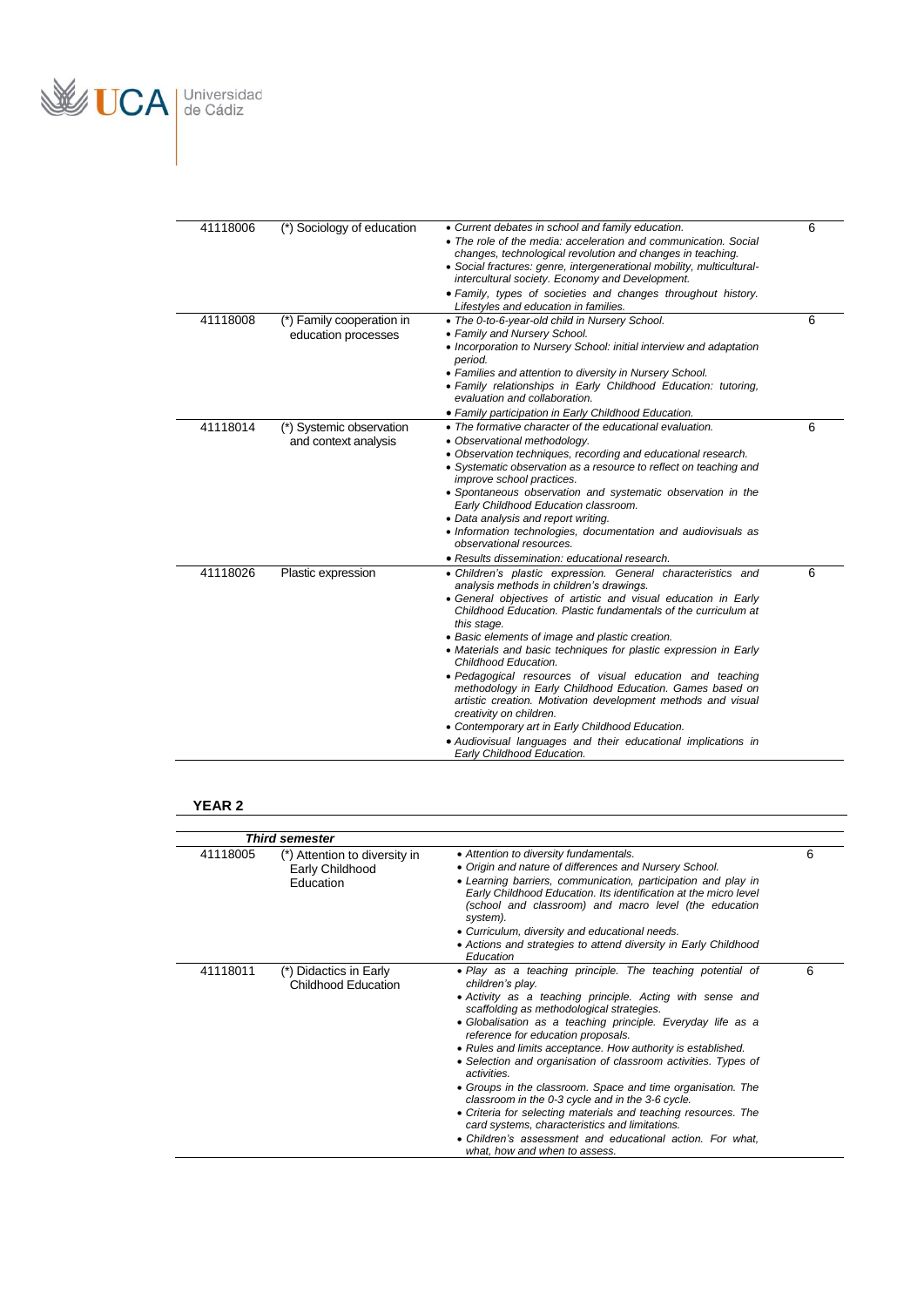

| 41118006 | (*) Sociology of education                       | • Current debates in school and family education.<br>• The role of the media: acceleration and communication. Social<br>changes, technological revolution and changes in teaching.<br>• Social fractures: genre, intergenerational mobility, multicultural-<br>intercultural society. Economy and Development.<br>· Family, types of societies and changes throughout history.<br>Lifestyles and education in families.                                                                                                                                                                                                                                                                                                                                                          | 6 |
|----------|--------------------------------------------------|----------------------------------------------------------------------------------------------------------------------------------------------------------------------------------------------------------------------------------------------------------------------------------------------------------------------------------------------------------------------------------------------------------------------------------------------------------------------------------------------------------------------------------------------------------------------------------------------------------------------------------------------------------------------------------------------------------------------------------------------------------------------------------|---|
| 41118008 | (*) Family cooperation in<br>education processes | • The 0-to-6-year-old child in Nursery School.<br>• Family and Nursery School.<br>• Incorporation to Nursery School: initial interview and adaptation<br>period.<br>• Families and attention to diversity in Nursery School.<br>• Family relationships in Early Childhood Education: tutoring,<br>evaluation and collaboration.<br>• Family participation in Early Childhood Education.                                                                                                                                                                                                                                                                                                                                                                                          | 6 |
| 41118014 | (*) Systemic observation<br>and context analysis | • The formative character of the educational evaluation.<br>• Observational methodology.<br>• Observation techniques, recording and educational research.<br>• Systematic observation as a resource to reflect on teaching and<br><i>improve school practices.</i><br>• Spontaneous observation and systematic observation in the<br>Early Childhood Education classroom.<br>• Data analysis and report writing.<br>• Information technologies, documentation and audiovisuals as<br>observational resources.<br>• Results dissemination: educational research.                                                                                                                                                                                                                  | 6 |
| 41118026 | Plastic expression                               | · Children's plastic expression. General characteristics and<br>analysis methods in children's drawings.<br>• General objectives of artistic and visual education in Early<br>Childhood Education. Plastic fundamentals of the curriculum at<br>this stage.<br>• Basic elements of image and plastic creation.<br>• Materials and basic techniques for plastic expression in Early<br>Childhood Education.<br>• Pedagogical resources of visual education and teaching<br>methodology in Early Childhood Education. Games based on<br>artistic creation. Motivation development methods and visual<br>creativity on children.<br>• Contemporary art in Early Childhood Education.<br>• Audiovisual languages and their educational implications in<br>Early Childhood Education. | 6 |

### **YEAR 2**

|          | <b>Third semester</b>                                         |                                                                                                                                                                                                                                                                                                                                                                                                                                                                                                                                                                                                                                                                                                                                                                                   |   |
|----------|---------------------------------------------------------------|-----------------------------------------------------------------------------------------------------------------------------------------------------------------------------------------------------------------------------------------------------------------------------------------------------------------------------------------------------------------------------------------------------------------------------------------------------------------------------------------------------------------------------------------------------------------------------------------------------------------------------------------------------------------------------------------------------------------------------------------------------------------------------------|---|
| 41118005 | (*) Attention to diversity in<br>Early Childhood<br>Education | • Attention to diversity fundamentals.<br>• Origin and nature of differences and Nursery School.<br>• Learning barriers, communication, participation and play in<br>Early Childhood Education. Its identification at the micro level<br>(school and classroom) and macro level (the education<br>system).<br>• Curriculum, diversity and educational needs.<br>• Actions and strategies to attend diversity in Early Childhood<br>Education                                                                                                                                                                                                                                                                                                                                      | 6 |
| 41118011 | Didactics in Early<br>Childhood Education                     | • Play as a teaching principle. The teaching potential of<br>children's play.<br>• Activity as a teaching principle. Acting with sense and<br>scaffolding as methodological strategies.<br>· Globalisation as a teaching principle. Everyday life as a<br>reference for education proposals.<br>• Rules and limits acceptance. How authority is established.<br>• Selection and organisation of classroom activities. Types of<br>activities<br>• Groups in the classroom. Space and time organisation. The<br>classroom in the 0-3 cycle and in the 3-6 cycle.<br>• Criteria for selecting materials and teaching resources. The<br>card systems, characteristics and limitations.<br>• Children's assessment and educational action. For what,<br>what, how and when to assess. | 6 |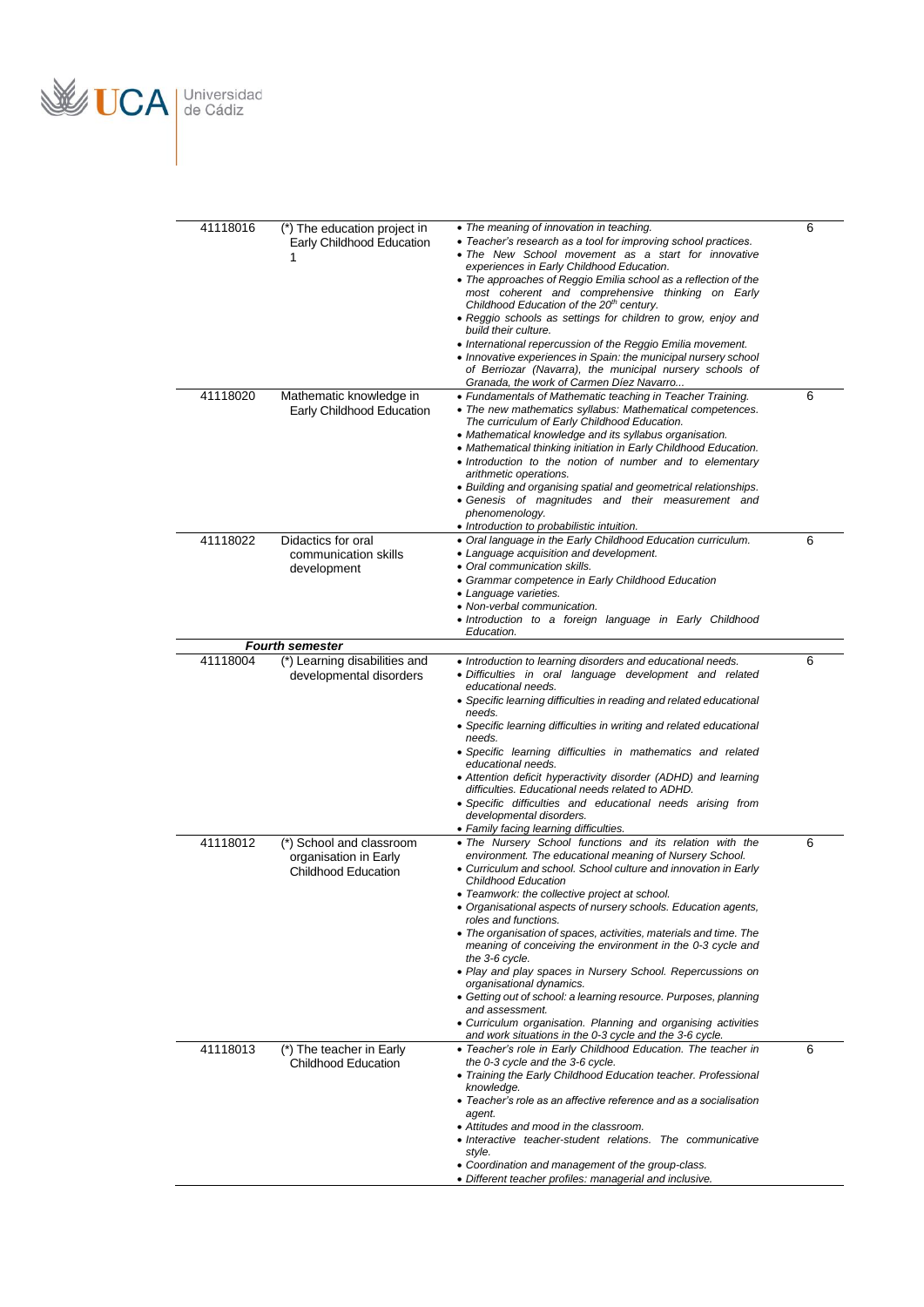

| 41118016 | (*) The education project in                             | • The meaning of innovation in teaching.                                                                                                                           | $\overline{6}$ |
|----------|----------------------------------------------------------|--------------------------------------------------------------------------------------------------------------------------------------------------------------------|----------------|
|          | Early Childhood Education<br>1                           | • Teacher's research as a tool for improving school practices.<br>• The New School movement as a start for innovative<br>experiences in Early Childhood Education. |                |
|          |                                                          | • The approaches of Reggio Emilia school as a reflection of the                                                                                                    |                |
|          |                                                          | most coherent and comprehensive thinking on Early<br>Childhood Education of the 20 <sup>th</sup> century.                                                          |                |
|          |                                                          | • Reggio schools as settings for children to grow, enjoy and                                                                                                       |                |
|          |                                                          | build their culture.<br>• International repercussion of the Reggio Emilia movement.                                                                                |                |
|          |                                                          | • Innovative experiences in Spain: the municipal nursery school<br>of Berriozar (Navarra), the municipal nursery schools of                                        |                |
|          |                                                          | Granada, the work of Carmen Díez Navarro                                                                                                                           |                |
| 41118020 | Mathematic knowledge in<br>Early Childhood Education     | • Fundamentals of Mathematic teaching in Teacher Training.<br>• The new mathematics syllabus: Mathematical competences.                                            | 6              |
|          |                                                          | The curriculum of Early Childhood Education.                                                                                                                       |                |
|          |                                                          | • Mathematical knowledge and its syllabus organisation.<br>• Mathematical thinking initiation in Early Childhood Education.                                        |                |
|          |                                                          | • Introduction to the notion of number and to elementary                                                                                                           |                |
|          |                                                          | arithmetic operations.<br>• Building and organising spatial and geometrical relationships.                                                                         |                |
|          |                                                          | • Genesis of magnitudes and their measurement and                                                                                                                  |                |
|          |                                                          | phenomenology.<br>• Introduction to probabilistic intuition.                                                                                                       |                |
| 41118022 | Didactics for oral                                       | • Oral language in the Early Childhood Education curriculum.<br>• Language acquisition and development.                                                            | 6              |
|          | communication skills<br>development                      | • Oral communication skills.                                                                                                                                       |                |
|          |                                                          | • Grammar competence in Early Childhood Education<br>• Language varieties.                                                                                         |                |
|          |                                                          | • Non-verbal communication.                                                                                                                                        |                |
|          |                                                          | · Introduction to a foreign language in Early Childhood<br>Education.                                                                                              |                |
|          | <b>Fourth semester</b>                                   |                                                                                                                                                                    |                |
| 41118004 | (*) Learning disabilities and<br>developmental disorders | • Introduction to learning disorders and educational needs.<br>· Difficulties in oral language development and related                                             | 6              |
|          |                                                          | educational needs.                                                                                                                                                 |                |
|          |                                                          | • Specific learning difficulties in reading and related educational<br>needs.                                                                                      |                |
|          |                                                          | • Specific learning difficulties in writing and related educational<br>needs.                                                                                      |                |
|          |                                                          | • Specific learning difficulties in mathematics and related                                                                                                        |                |
|          |                                                          | educational needs.<br>• Attention deficit hyperactivity disorder (ADHD) and learning                                                                               |                |
|          |                                                          | difficulties. Educational needs related to ADHD.                                                                                                                   |                |
|          |                                                          | • Specific difficulties and educational needs arising from<br>developmental disorders.                                                                             |                |
| 41118012 | (*) School and classroom                                 | • Family facing learning difficulties.<br>. The Nursery School functions and its relation with the                                                                 | 6              |
|          | organisation in Early                                    | environment. The educational meaning of Nursery School.                                                                                                            |                |
|          | <b>Childhood Education</b>                               | • Curriculum and school. School culture and innovation in Early<br><b>Childhood Education</b>                                                                      |                |
|          |                                                          | • Teamwork: the collective project at school.                                                                                                                      |                |
|          |                                                          | • Organisational aspects of nursery schools. Education agents,<br>roles and functions.                                                                             |                |
|          |                                                          | • The organisation of spaces, activities, materials and time. The<br>meaning of conceiving the environment in the 0-3 cycle and                                    |                |
|          |                                                          | the 3-6 cycle.                                                                                                                                                     |                |
|          |                                                          | • Play and play spaces in Nursery School. Repercussions on<br>organisational dynamics.                                                                             |                |
|          |                                                          | • Getting out of school: a learning resource. Purposes, planning                                                                                                   |                |
|          |                                                          | and assessment.<br>• Curriculum organisation. Planning and organising activities                                                                                   |                |
| 41118013 | (*) The teacher in Early                                 | and work situations in the 0-3 cycle and the 3-6 cycle.<br>• Teacher's role in Early Childhood Education. The teacher in                                           | 6              |
|          | <b>Childhood Education</b>                               | the 0-3 cycle and the 3-6 cycle.                                                                                                                                   |                |
|          |                                                          | • Training the Early Childhood Education teacher. Professional<br>knowledge.                                                                                       |                |
|          |                                                          | • Teacher's role as an affective reference and as a socialisation                                                                                                  |                |
|          |                                                          | agent.<br>• Attitudes and mood in the classroom.                                                                                                                   |                |
|          |                                                          | • Interactive teacher-student relations. The communicative<br>style.                                                                                               |                |
|          |                                                          | • Coordination and management of the group-class.                                                                                                                  |                |
|          |                                                          | • Different teacher profiles: managerial and inclusive.                                                                                                            |                |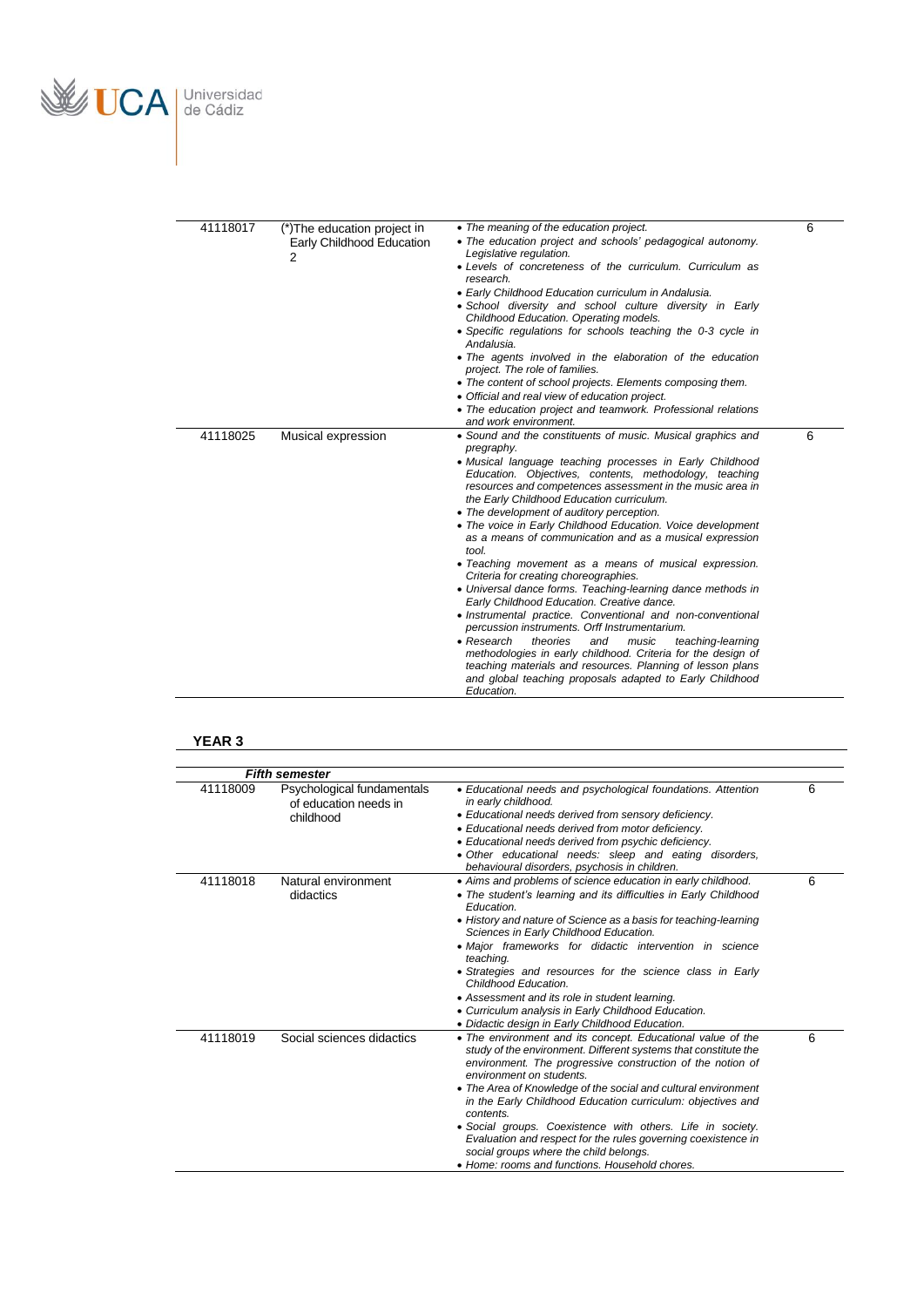

| 41118017 | (*) The education project in<br>Early Childhood Education<br>2 | • The meaning of the education project.<br>• The education project and schools' pedagogical autonomy.<br>Legislative regulation.<br>• Levels of concreteness of the curriculum. Curriculum as<br>research.<br>• Early Childhood Education curriculum in Andalusia.<br>· School diversity and school culture diversity in Early<br>Childhood Education. Operating models.<br>• Specific regulations for schools teaching the 0-3 cycle in<br>Andalusia.<br>• The agents involved in the elaboration of the education<br>project. The role of families.<br>• The content of school projects. Elements composing them.<br>• Official and real view of education project.<br>• The education project and teamwork. Professional relations<br>and work environment.                                                                                                                                                                                                                                                                                                                                         | 6 |
|----------|----------------------------------------------------------------|--------------------------------------------------------------------------------------------------------------------------------------------------------------------------------------------------------------------------------------------------------------------------------------------------------------------------------------------------------------------------------------------------------------------------------------------------------------------------------------------------------------------------------------------------------------------------------------------------------------------------------------------------------------------------------------------------------------------------------------------------------------------------------------------------------------------------------------------------------------------------------------------------------------------------------------------------------------------------------------------------------------------------------------------------------------------------------------------------------|---|
| 41118025 | Musical expression                                             | • Sound and the constituents of music. Musical graphics and<br>pregraphy.<br>• Musical language teaching processes in Early Childhood<br>Education. Objectives, contents, methodology, teaching<br>resources and competences assessment in the music area in<br>the Early Childhood Education curriculum.<br>• The development of auditory perception.<br>• The voice in Early Childhood Education. Voice development<br>as a means of communication and as a musical expression<br>tool.<br>• Teaching movement as a means of musical expression.<br>Criteria for creating choreographies.<br>• Universal dance forms. Teaching-learning dance methods in<br>Early Childhood Education. Creative dance.<br>• Instrumental practice. Conventional and non-conventional<br>percussion instruments. Orff Instrumentarium.<br>$\bullet$ Research<br>theories<br>and<br>music<br>teaching-learning<br>methodologies in early childhood. Criteria for the design of<br>teaching materials and resources. Planning of lesson plans<br>and global teaching proposals adapted to Early Childhood<br>Education. | 6 |

## **YEAR 3**

|          | <b>Fifth semester</b>                                            |                                                                                                                                                                                                                                                                                                                                                                                                                                                                                                                                                                                                   |   |
|----------|------------------------------------------------------------------|---------------------------------------------------------------------------------------------------------------------------------------------------------------------------------------------------------------------------------------------------------------------------------------------------------------------------------------------------------------------------------------------------------------------------------------------------------------------------------------------------------------------------------------------------------------------------------------------------|---|
| 41118009 | Psychological fundamentals<br>of education needs in<br>childhood | • Educational needs and psychological foundations. Attention<br>in early childhood.<br>• Educational needs derived from sensory deficiency.<br>• Educational needs derived from motor deficiency.<br>• Educational needs derived from psychic deficiency.<br>• Other educational needs: sleep and eating disorders,<br>behavioural disorders, psychosis in children.                                                                                                                                                                                                                              | 6 |
| 41118018 | Natural environment<br>didactics                                 | • Aims and problems of science education in early childhood.<br>• The student's learning and its difficulties in Early Childhood<br>Education.<br>• History and nature of Science as a basis for teaching-learning<br>Sciences in Early Childhood Education.<br>• Major frameworks for didactic intervention in science<br>teaching.<br>• Strategies and resources for the science class in Early<br>Childhood Education.<br>• Assessment and its role in student learning.<br>• Curriculum analysis in Early Childhood Education.<br>• Didactic design in Early Childhood Education.             | 6 |
| 41118019 | Social sciences didactics                                        | • The environment and its concept. Educational value of the<br>study of the environment. Different systems that constitute the<br>environment. The progressive construction of the notion of<br>environment on students.<br>• The Area of Knowledge of the social and cultural environment<br>in the Early Childhood Education curriculum: objectives and<br>contents.<br>• Social groups. Coexistence with others. Life in society.<br>Evaluation and respect for the rules governing coexistence in<br>social groups where the child belongs.<br>• Home: rooms and functions. Household chores. | 6 |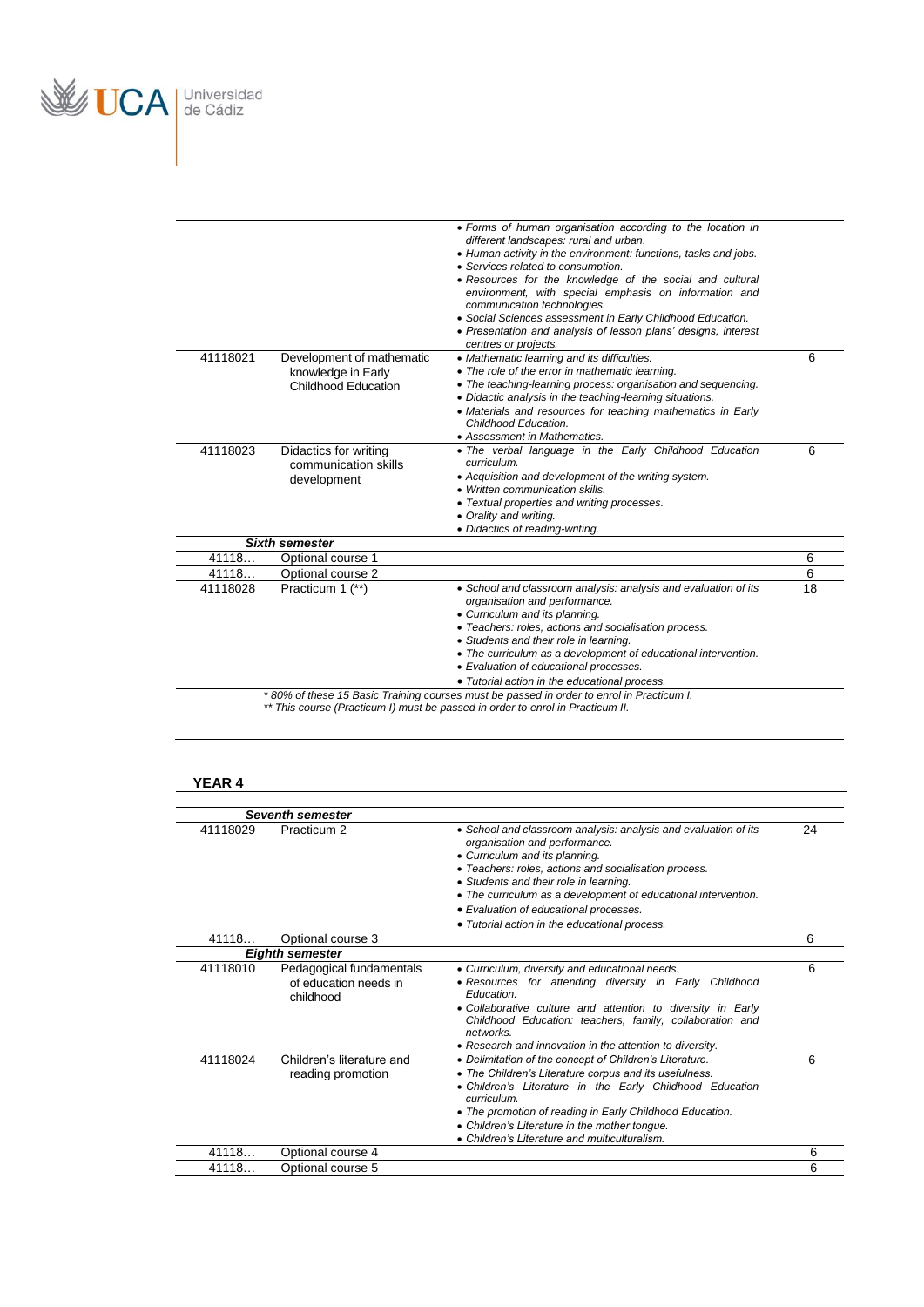

| 41118021 | Development of mathematic<br>knowledge in Early              | different landscapes: rural and urban.<br>• Human activity in the environment: functions, tasks and jobs.<br>• Services related to consumption.<br>• Resources for the knowledge of the social and cultural<br>environment, with special emphasis on information and<br>communication technologies.<br>• Social Sciences assessment in Early Childhood Education.<br>• Presentation and analysis of lesson plans' designs, interest<br>centres or projects.<br>• Mathematic learning and its difficulties.<br>• The role of the error in mathematic learning. | 6  |
|----------|--------------------------------------------------------------|---------------------------------------------------------------------------------------------------------------------------------------------------------------------------------------------------------------------------------------------------------------------------------------------------------------------------------------------------------------------------------------------------------------------------------------------------------------------------------------------------------------------------------------------------------------|----|
|          | Childhood Education                                          | • The teaching-learning process: organisation and sequencing.<br>• Didactic analysis in the teaching-learning situations.<br>• Materials and resources for teaching mathematics in Early<br>Childhood Education.<br>• Assessment in Mathematics.                                                                                                                                                                                                                                                                                                              |    |
| 41118023 | Didactics for writing<br>communication skills<br>development | . The verbal language in the Early Childhood Education<br>curriculum.<br>• Acquisition and development of the writing system.<br>• Written communication skills.<br>• Textual properties and writing processes.<br>• Orality and writing.<br>• Didactics of reading-writing.                                                                                                                                                                                                                                                                                  | 6  |
|          | <b>Sixth semester</b>                                        |                                                                                                                                                                                                                                                                                                                                                                                                                                                                                                                                                               |    |
| 41118    | Optional course 1                                            |                                                                                                                                                                                                                                                                                                                                                                                                                                                                                                                                                               | 6  |
| 41118    | Optional course 2                                            |                                                                                                                                                                                                                                                                                                                                                                                                                                                                                                                                                               | 6  |
| 41118028 | Practicum 1 (**)                                             | • School and classroom analysis: analysis and evaluation of its<br>organisation and performance.<br>• Curriculum and its planning.<br>• Teachers: roles, actions and socialisation process.<br>• Students and their role in learning.<br>• The curriculum as a development of educational intervention.<br>• Evaluation of educational processes.<br>• Tutorial action in the educational process.                                                                                                                                                            | 18 |

#### *\*\* This course (Practicum I) must be passed in order to enrol in Practicum II.*

## **YEAR 4**

|          | <b>Seventh semester</b>                                        |                                                                                                                                                                                                                                                                                                                                                                                                    |    |
|----------|----------------------------------------------------------------|----------------------------------------------------------------------------------------------------------------------------------------------------------------------------------------------------------------------------------------------------------------------------------------------------------------------------------------------------------------------------------------------------|----|
| 41118029 | Practicum <sub>2</sub>                                         | • School and classroom analysis: analysis and evaluation of its<br>organisation and performance.<br>• Curriculum and its planning.<br>· Teachers: roles, actions and socialisation process.<br>• Students and their role in learning.<br>• The curriculum as a development of educational intervention.<br>• Evaluation of educational processes.<br>• Tutorial action in the educational process. | 24 |
| 41118    | Optional course 3                                              |                                                                                                                                                                                                                                                                                                                                                                                                    | 6  |
|          | <b>Eighth semester</b>                                         |                                                                                                                                                                                                                                                                                                                                                                                                    |    |
| 41118010 | Pedagogical fundamentals<br>of education needs in<br>childhood | • Curriculum, diversity and educational needs.<br>• Resources for attending diversity in Early Childhood<br><b>Fducation</b><br>. Collaborative culture and attention to diversity in Early<br>Childhood Education: teachers, family, collaboration and<br>networks.<br>• Research and innovation in the attention to diversity.                                                                   | 6  |
| 41118024 | Children's literature and<br>reading promotion                 | • Delimitation of the concept of Children's Literature.<br>• The Children's Literature corpus and its usefulness.<br>• Children's Literature in the Early Childhood Education<br><i>curriculum</i><br>• The promotion of reading in Early Childhood Education.<br>• Children's Literature in the mother tonque.<br>• Children's Literature and multiculturalism.                                   | 6  |
| 41118    | Optional course 4                                              |                                                                                                                                                                                                                                                                                                                                                                                                    | 6  |
| 41118    | Optional course 5                                              |                                                                                                                                                                                                                                                                                                                                                                                                    | 6  |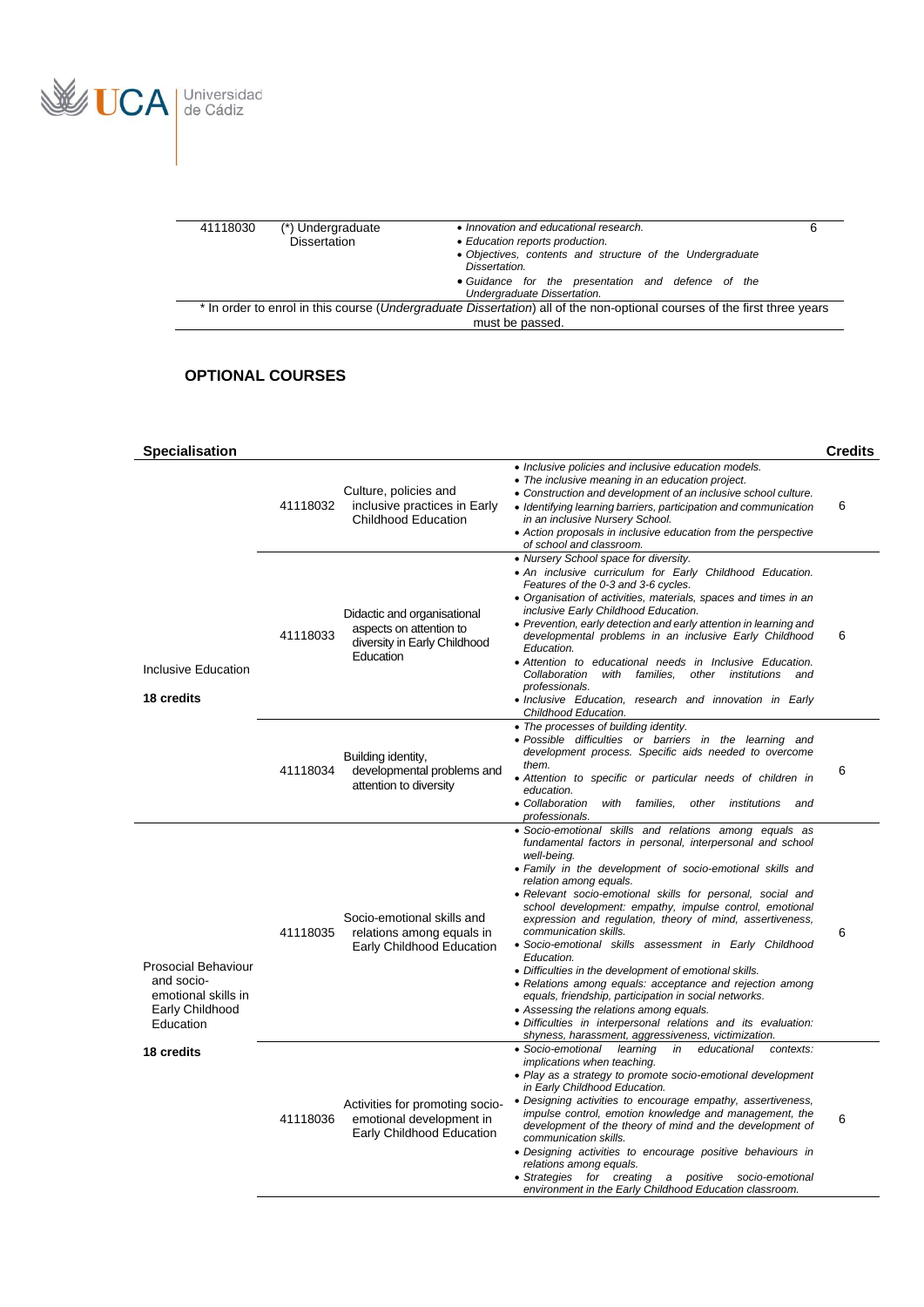

| 41118030<br>(*) Undergraduate<br>Dissertation | • Innovation and educational research.<br>• Education reports production.<br>• Objectives, contents and structure of the Undergraduate<br>Dissertation. | 6 |
|-----------------------------------------------|---------------------------------------------------------------------------------------------------------------------------------------------------------|---|
|                                               | • Guidance for the presentation and defence of the<br>Undergraduate Dissertation.                                                                       |   |
|                                               | * In order to enrol in this course (Undergraduate Dissertation) all of the non-optional courses of the first three years<br>must be passed.             |   |
|                                               |                                                                                                                                                         |   |

**Specialisation Credits**

*Inclusive policies and inclusive education models.*

*Assessing the relations among equals.*

*implications when teaching.*

*in Early Childhood Education.*

*communication skills.*

*relations among equals.*

 *Difficulties in interpersonal relations and its evaluation: shyness, harassment, aggressiveness, victimization.*

*Play as a strategy to promote socio-emotional development* 

 *Designing activities to encourage empathy, assertiveness, impulse control, emotion knowledge and management, the development of the theory of mind and the development of* 

*Designing activities to encourage positive behaviours in* 

 *Strategies for creating a positive socio-emotional environment in the Early Childhood Education classroom.*

• Socio-emotional learning in educational

### **OPTIONAL COURSES**

| Inclusive Education<br>18 credits                               | 41118032 | Culture, policies and<br>inclusive practices in Early<br>Childhood Education                        | • The inclusive meaning in an education project.<br>• Construction and development of an inclusive school culture.<br>• Identifying learning barriers, participation and communication<br>in an inclusive Nursery School.<br>• Action proposals in inclusive education from the perspective<br>of school and classroom.                                                                                                                                                                                                                                                                                                                                                                         |
|-----------------------------------------------------------------|----------|-----------------------------------------------------------------------------------------------------|-------------------------------------------------------------------------------------------------------------------------------------------------------------------------------------------------------------------------------------------------------------------------------------------------------------------------------------------------------------------------------------------------------------------------------------------------------------------------------------------------------------------------------------------------------------------------------------------------------------------------------------------------------------------------------------------------|
|                                                                 | 41118033 | Didactic and organisational<br>aspects on attention to<br>diversity in Early Childhood<br>Education | • Nursery School space for diversity.<br>. An inclusive curriculum for Early Childhood Education.<br>Features of the 0-3 and 3-6 cycles.<br>• Organisation of activities, materials, spaces and times in an<br>inclusive Early Childhood Education.<br>• Prevention, early detection and early attention in learning and<br>developmental problems in an inclusive Early Childhood<br>Education.<br>• Attention to educational needs in Inclusive Education.<br>Collaboration<br>with<br>families.<br>other<br>institutions<br>and<br>professionals.<br>• Inclusive Education, research and innovation in Early<br>Childhood Education.                                                         |
|                                                                 | 41118034 | Building identity,<br>developmental problems and<br>attention to diversity                          | • The processes of building identity.<br>· Possible difficulties or barriers in the learning and<br>development process. Specific aids needed to overcome<br>them.<br>• Attention to specific or particular needs of children in<br>education.<br>• Collaboration<br>with<br>families.<br>other<br>institutions<br>and<br>professionals.                                                                                                                                                                                                                                                                                                                                                        |
| <b>Prosocial Behaviour</b><br>and socio-<br>emotional skills in | 41118035 | Socio-emotional skills and<br>relations among equals in<br>Early Childhood Education                | · Socio-emotional skills and relations among equals as<br>fundamental factors in personal, interpersonal and school<br>well-being.<br>• Family in the development of socio-emotional skills and<br>relation among equals.<br>· Relevant socio-emotional skills for personal, social and<br>school development: empathy, impulse control, emotional<br>expression and regulation, theory of mind, assertiveness,<br>communication skills.<br>• Socio-emotional skills assessment in Early Childhood<br>Education.<br>• Difficulties in the development of emotional skills.<br>• Relations among equals: acceptance and rejection among<br>equals, friendship, participation in social networks. |

Activities for promoting socioemotional development in Early Childhood Education

**18 credits**

Early Childhood **Education** 

41118036

| <i>un m</i> uutis.      |  |
|-------------------------|--|
| project.                |  |
| clusive school culture. |  |

6

6

6

6

6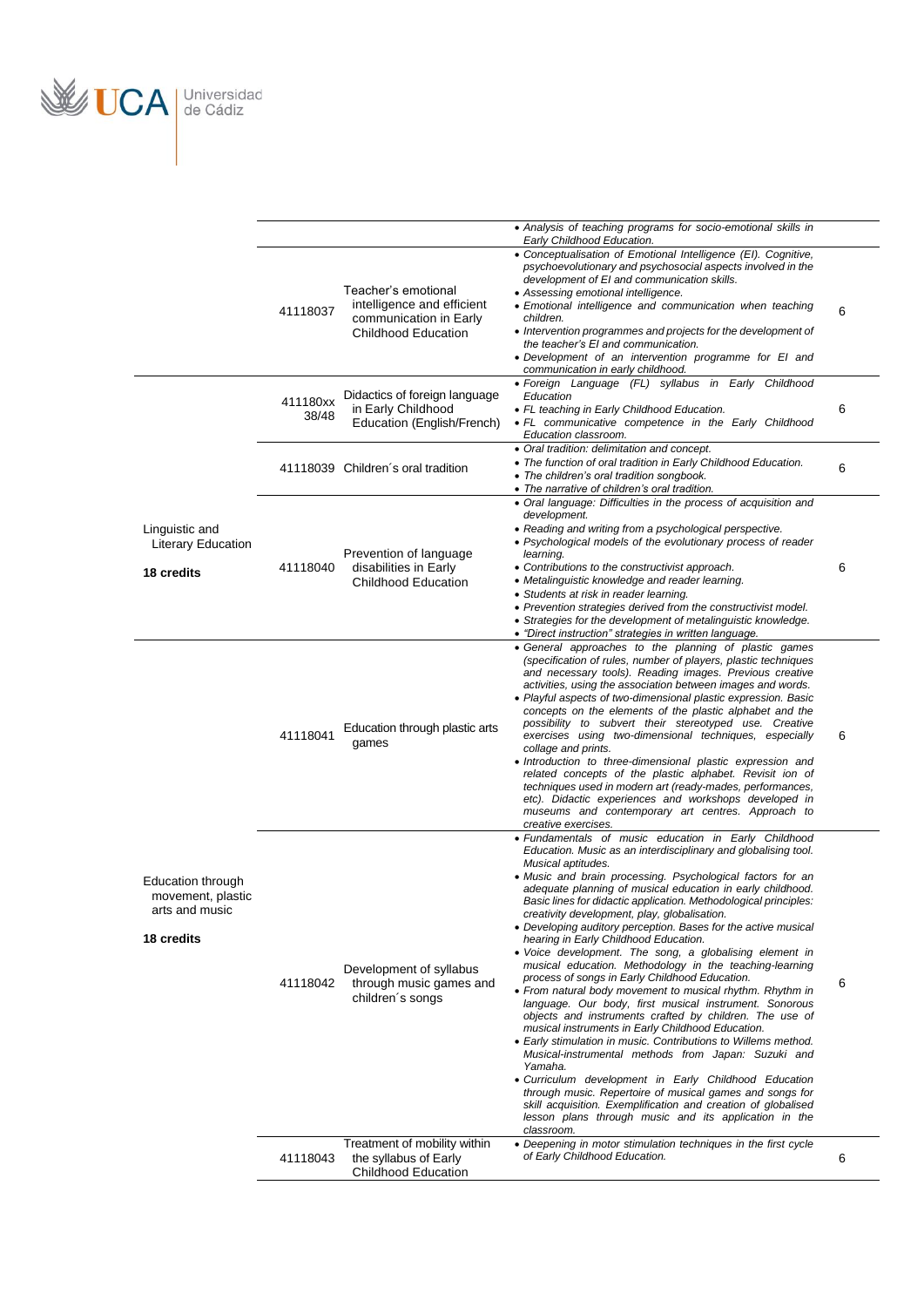

|                                                                        |                   |                                                                                                           | • Analysis of teaching programs for socio-emotional skills in<br>Early Childhood Education.<br>• Conceptualisation of Emotional Intelligence (EI). Cognitive,                                                                                                                                                                                                                                                                                                                                                                                                                                                                                                                                                                                                                                                                                                                                                                                                                                                                                                                                                                                                                                                                                                                                                           |   |
|------------------------------------------------------------------------|-------------------|-----------------------------------------------------------------------------------------------------------|-------------------------------------------------------------------------------------------------------------------------------------------------------------------------------------------------------------------------------------------------------------------------------------------------------------------------------------------------------------------------------------------------------------------------------------------------------------------------------------------------------------------------------------------------------------------------------------------------------------------------------------------------------------------------------------------------------------------------------------------------------------------------------------------------------------------------------------------------------------------------------------------------------------------------------------------------------------------------------------------------------------------------------------------------------------------------------------------------------------------------------------------------------------------------------------------------------------------------------------------------------------------------------------------------------------------------|---|
|                                                                        | 41118037          | Teacher's emotional<br>intelligence and efficient<br>communication in Early<br><b>Childhood Education</b> | psychoevolutionary and psychosocial aspects involved in the<br>development of EI and communication skills.<br>• Assessing emotional intelligence.<br>• Emotional intelligence and communication when teaching<br>children.<br>• Intervention programmes and projects for the development of<br>the teacher's EI and communication.<br>· Development of an intervention programme for EI and                                                                                                                                                                                                                                                                                                                                                                                                                                                                                                                                                                                                                                                                                                                                                                                                                                                                                                                             | 6 |
|                                                                        | 411180xx<br>38/48 | Didactics of foreign language<br>in Early Childhood<br>Education (English/French)                         | communication in early childhood.<br>· Foreign Language (FL) syllabus in Early Childhood<br>Education<br>• FL teaching in Early Childhood Education.<br>• FL communicative competence in the Early Childhood<br>Education classroom.                                                                                                                                                                                                                                                                                                                                                                                                                                                                                                                                                                                                                                                                                                                                                                                                                                                                                                                                                                                                                                                                                    | 6 |
|                                                                        |                   | 41118039 Children's oral tradition                                                                        | • Oral tradition: delimitation and concept.<br>• The function of oral tradition in Early Childhood Education.<br>• The children's oral tradition songbook.<br>• The narrative of children's oral tradition.                                                                                                                                                                                                                                                                                                                                                                                                                                                                                                                                                                                                                                                                                                                                                                                                                                                                                                                                                                                                                                                                                                             | 6 |
| Linguistic and<br><b>Literary Education</b><br>18 credits              | 41118040          | Prevention of language<br>disabilities in Early<br><b>Childhood Education</b>                             | • Oral language: Difficulties in the process of acquisition and<br>development.<br>• Reading and writing from a psychological perspective.<br>• Psychological models of the evolutionary process of reader<br>learning.<br>• Contributions to the constructivist approach.<br>• Metalinguistic knowledge and reader learning.<br>• Students at risk in reader learning.<br>• Prevention strategies derived from the constructivist model.<br>• Strategies for the development of metalinguistic knowledge.<br>• "Direct instruction" strategies in written language.                                                                                                                                                                                                                                                                                                                                                                                                                                                                                                                                                                                                                                                                                                                                                    | 6 |
|                                                                        | 41118041          | Education through plastic arts<br>games                                                                   | • General approaches to the planning of plastic games<br>(specification of rules, number of players, plastic techniques<br>and necessary tools). Reading images. Previous creative<br>activities, using the association between images and words.<br>• Playful aspects of two-dimensional plastic expression. Basic<br>concepts on the elements of the plastic alphabet and the<br>possibility to subvert their stereotyped use. Creative<br>exercises using two-dimensional techniques, especially<br>collage and prints.<br>• Introduction to three-dimensional plastic expression and<br>related concepts of the plastic alphabet. Revisit ion of<br>techniques used in modern art (ready-mades, performances,<br>etc). Didactic experiences and workshops developed in<br>museums and contemporary art centres. Approach to<br>creative exercises.                                                                                                                                                                                                                                                                                                                                                                                                                                                                  | 6 |
| Education through<br>movement, plastic<br>arts and music<br>18 credits | 41118042          | Development of syllabus<br>through music games and<br>children's songs                                    | • Fundamentals of music education in Early Childhood<br>Education. Music as an interdisciplinary and globalising tool.<br>Musical aptitudes.<br>• Music and brain processing. Psychological factors for an<br>adequate planning of musical education in early childhood.<br>Basic lines for didactic application. Methodological principles:<br>creativity development, play, globalisation.<br>• Developing auditory perception. Bases for the active musical<br>hearing in Early Childhood Education.<br>• Voice development. The song, a globalising element in<br>musical education. Methodology in the teaching-learning<br>process of songs in Early Childhood Education.<br>• From natural body movement to musical rhythm. Rhythm in<br>language. Our body, first musical instrument. Sonorous<br>objects and instruments crafted by children. The use of<br>musical instruments in Early Childhood Education.<br>• Early stimulation in music. Contributions to Willems method.<br>Musical-instrumental methods from Japan: Suzuki and<br>Yamaha.<br>· Curriculum development in Early Childhood Education<br>through music. Repertoire of musical games and songs for<br>skill acquisition. Exemplification and creation of globalised<br>lesson plans through music and its application in the<br>classroom. | 6 |
|                                                                        | 41118043          | Treatment of mobility within<br>the syllabus of Early<br><b>Childhood Education</b>                       | • Deepening in motor stimulation techniques in the first cycle<br>of Early Childhood Education.                                                                                                                                                                                                                                                                                                                                                                                                                                                                                                                                                                                                                                                                                                                                                                                                                                                                                                                                                                                                                                                                                                                                                                                                                         | 6 |